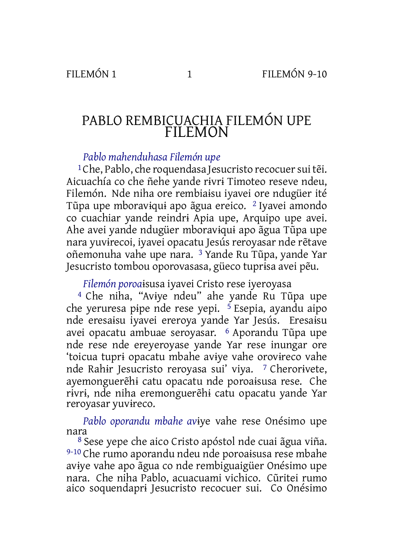## PABLO REMBICUACHIA FILEMÓN UPE FILEMON

## *Pablo mahenduhasa Filemón upe*

<sup>1</sup>Che, Pablo, che roquendasa Jesucristo recocuer sui tẽi. Aicuachía co che ñehe yande rɨvrɨ Timoteo reseve ndeu, Filemón. Nde niha ore rembiaɨsu iyavei ore ndugüer ité Tũpa upe mboravɨquɨ apo ãgua ereico. 2 Iyavei amondo co cuachiar yande reindrɨ Apia upe, Arquipo upe avei. Ahe avei yande ndugüer mboravɨquɨ apo ãgua Tũpa upe nara yuvɨrecoi, iyavei opacatu Jesús reroyasar nde rẽtave oñemonuha vahe upe nara. 3 Yande Ru Tũpa, yande Yar Jesucristo tombou oporovasasa, güeco tuprɨsa avei pẽu.

*Filemón poroa*ɨsusa iyavei Cristo rese iyeroyasa

4 Che niha, "Avɨye ndeu" ahe yande Ru Tũpa upe che yeruresa pipe nde rese yepi.  $\frac{5}{5}$  Esepia, ayandu aipo nde eresaɨsu iyavei ereroya yande Yar Jesús. Eresaɨsu avei opacatu ambuae seroyasar. 6 Aporandu Tũpa upe nde rese nde ereyeroyase yande Yar rese inungar ore 'toicua tuprɨ opacatu mbahe avɨye vahe orovɨreco vahe nde Rahɨr Jesucristo reroyasa sui' viya. 7 Cherorɨvete, ayemonguerẽhɨ catu opacatu nde poroaɨsusa rese. Che rɨvrɨ, nde niha eremonguerẽhɨ catu opacatu yande Yar reroyasar yuvɨreco.

*Pablo oporandu mbahe av*ɨye vahe rese Onésimo upe nara

8 Sese yepe che aico Cristo apóstol nde cuai ãgua viña. 9-10 Che rumo aporandu ndeu nde poroaɨsusa rese mbahe avɨye vahe apo ãgua co nde rembiguaigüer Onésimo upe nara. Che niha Pablo, acuacuami vichico. Cũritei rumo aico soquendaprɨ Jesucristo recocuer sui. Co Onésimo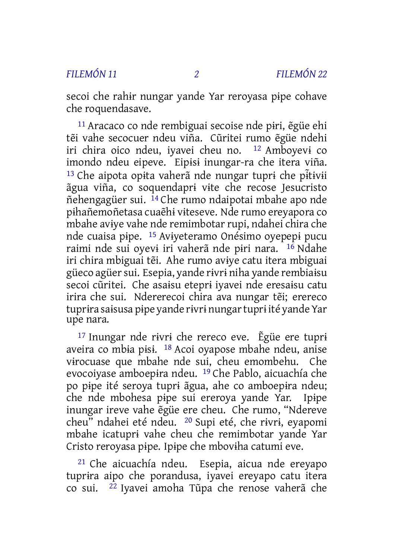secoi che rahɨr nungar yande Yar reroyasa pɨpe cohave che roquendasave.

11 Aracaco co nde rembiguai secoise nde pɨri, ẽgüe ehi tẽi vahe secocuer ndeu viña. Cũritei rumo ẽgüe ndehi iri chira oico ndeu, iyavei cheu no. 12 Amboyevɨ co imondo ndeu eipeve. Eipɨsɨ inungar-ra che itera viña. <sup>13</sup> Che aipota opita vaherã nde nungar tupri che pitivii ãgua viña, co soquendaprɨ vɨte che recose Jesucristo ñehengagüer sui. 14 Che rumo ndaipotai mbahe apo nde pɨhañemoñetasa cuaẽhɨ vɨteseve. Nde rumo ereyapora co mbahe avɨye vahe nde remimbotar rupi, ndahei chira che nde cuaisa pɨpe. 15 Avɨyeteramo Onésimo oyepepɨ pucu raimi nde sui oyevɨ iri vaherã nde pɨri nara. 16 Ndahe iri chira mbiguai tẽi. Ahe rumo avɨye catu itera mbiguai güeco agüer sui. Esepia, yande rivri niha yande rembiaisu secoi cũritei. Che asaɨsu eteprɨ iyavei nde eresaɨsu catu irira che sui. Ndererecoi chira ava nungar tẽi; erereco tuprɨra saɨsusa pɨpe yande rɨvrɨ nungartuprɨ ité yande Yar upe nara.

17 Inungar nde rɨvrɨ che rereco eve. Ẽgüe ere tuprɨ aveira co mbɨa pɨsɨ. 18 Acoi oyapose mbahe ndeu, anise vɨrocuase que mbahe nde sui, cheu emombehu. Che evocoiyase amboepɨra ndeu. 19 Che Pablo, aicuachía che po pɨpe ité seroya tuprɨ ãgua, ahe co amboepɨra ndeu; che nde mbohesa pɨpe sui ereroya yande Yar. Ipɨpe inungar ireve vahe ẽgüe ere cheu. Che rumo, "Ndereve cheu" ndahei eté ndeu. 20 Supi eté, che rɨvrɨ, eyapomi mbahe icatuprɨ vahe cheu che remimbotar yande Yar Cristo reroyasa pɨpe. Ipɨpe che mbovɨha catumi eve.

21 Che aicuachía ndeu. Esepia, aicua nde ereyapo tuprɨra aipo che porandusa, iyavei ereyapo catu itera co sui. 22 Iyavei amoha Tũpa che renose vaherã che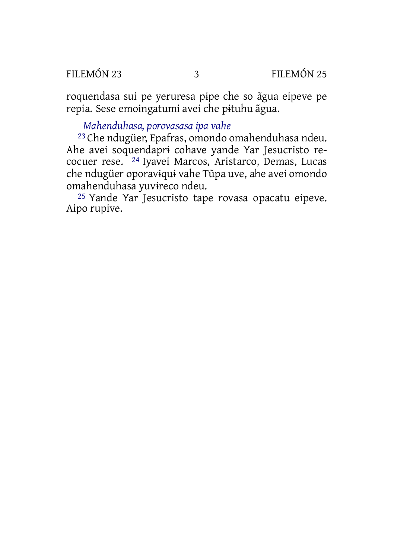roquendasa sui pe yeruresa pɨpe che so ãgua eipeve pe repia. Sese emoingatumi avei che pɨtuhu ãgua.

## *Mahenduhasa, porovasasa ipa vahe*

23 Che ndugüer, Epafras, omondo omahenduhasa ndeu. Ahe avei soquendaprɨ cohave yande Yar Jesucristo recocuer rese. 24 Iyavei Marcos, Aristarco, Demas, Lucas che ndugüer oporavɨquɨ vahe Tũpa uve, ahe avei omondo omahenduhasa yuvɨreco ndeu.

25 Yande Yar Jesucristo tape rovasa opacatu eipeve. Aipo rupive.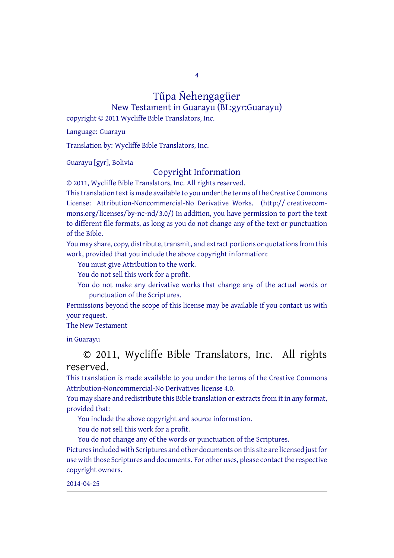4

# Tũpa Ñehengagüer

New Testament in Guarayu (BL:gyr:Guarayu) copyright © 2011 Wycliffe Bible Translators, Inc.

Language: Guarayu

Translation by: Wycliffe Bible Translators, Inc.

Guarayu [gyr], Bolivia

### Copyright Information

© 2011, Wycliffe Bible Translators, Inc. All rights reserved.

This translation text is made available to you under the terms of the Creative [Commons](http://creativecommons.org/licenses/by-nc-nd/4.0/) License: [Attribution-Noncommercial-No](http://creativecommons.org/licenses/by-nc-nd/4.0/) Derivative Works. (http:// creativecommons.org/licenses/by-nc-nd/3.0/) In addition, you have permission to port the text to different file formats, as long as you do not change any of the text or punctuation of the Bible.

You may share, copy, distribute, transmit, and extract portions or quotations from this work, provided that you include the above copyright information:

You must give Attribution to the work.

You do not sell this work for a profit.

You do not make any derivative works that change any of the actual words or punctuation of the Scriptures.

Permissions beyond the scope of this license may be available if you contact us with your request.

#### The New Testament

in Guarayu

## © 2011, Wycliffe Bible Translators, Inc. All rights reserved.

This translation is made available to you under the terms of the Creative Commons Attribution-Noncommercial-No Derivatives license 4.0.

You may share and redistribute this Bible translation or extracts from it in any format, provided that:

You include the above copyright and source information.

You do not sell this work for a profit.

You do not change any of the words or punctuation of the Scriptures. Pictures included with Scriptures and other documents on this site are licensed just for use with those Scriptures and documents. For other uses, please contact the respective copyright owners.

#### 2014-04-25